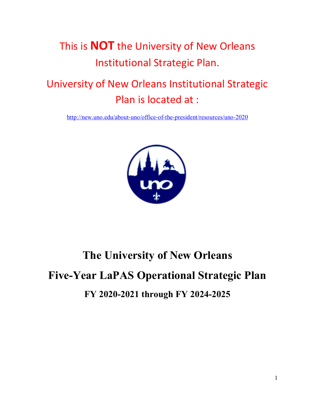

## University of New Orleans Institutional Strategic Plan is located at :

<http://new.uno.edu/about-uno/office-of-the-president/resources/uno-2020>



# **The University of New Orleans Five-Year LaPAS Operational Strategic Plan FY 2020-2021 through FY 2024-2025**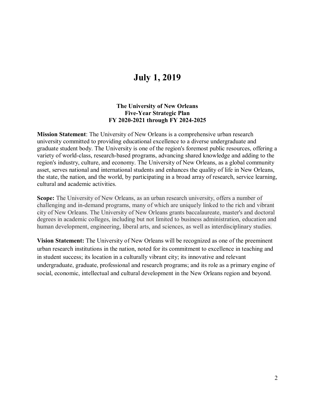## **July 1, 2019**

#### **The University of New Orleans Five-Year Strategic Plan FY 2020-2021 through FY 2024-2025**

**Mission Statement**: The University of New Orleans is a comprehensive urban research university committed to providing educational excellence to a diverse undergraduate and graduate student body. The University is one of the region's foremost public resources, offering a variety of world-class, research-based programs, advancing shared knowledge and adding to the region's industry, culture, and economy. The University of New Orleans, as a global community asset, serves national and international students and enhances the quality of life in New Orleans, the state, the nation, and the world, by participating in a broad array of research, service learning, cultural and academic activities.

**Scope:** The University of New Orleans, as an urban research university, offers a number of challenging and in-demand programs, many of which are uniquely linked to the rich and vibrant city of New Orleans. The University of New Orleans grants baccalaureate, master's and doctoral degrees in academic colleges, including but not limited to business administration, education and human development, engineering, liberal arts, and sciences, as well as interdisciplinary studies.

**Vision Statement:** The University of New Orleans will be recognized as one of the preeminent urban research institutions in the nation, noted for its commitment to excellence in teaching and in student success; its location in a culturally vibrant city; its innovative and relevant undergraduate, graduate, professional and research programs; and its role as a primary engine of social, economic, intellectual and cultural development in the New Orleans region and beyond.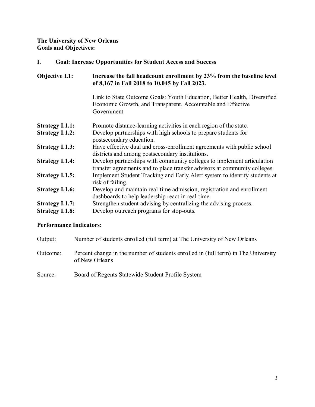**The University of New Orleans Goals and Objectives:**

#### **I. Goal: Increase Opportunities for Student Access and Success**

| Objective I.1:         | Increase the fall headcount enrollment by 23% from the baseline level<br>of 8,167 in Fall 2018 to 10,045 by Fall 2023.                                |
|------------------------|-------------------------------------------------------------------------------------------------------------------------------------------------------|
|                        | Link to State Outcome Goals: Youth Education, Better Health, Diversified<br>Economic Growth, and Transparent, Accountable and Effective<br>Government |
| <b>Strategy I.1.1:</b> | Promote distance-learning activities in each region of the state.                                                                                     |
| <b>Strategy I.1.2:</b> | Develop partnerships with high schools to prepare students for<br>postsecondary education.                                                            |
| <b>Strategy I.1.3:</b> | Have effective dual and cross-enrollment agreements with public school<br>districts and among postsecondary institutions.                             |
| <b>Strategy I.1.4:</b> | Develop partnerships with community colleges to implement articulation<br>transfer agreements and to place transfer advisors at community colleges.   |
| <b>Strategy I.1.5:</b> | Implement Student Tracking and Early Alert system to identify students at<br>risk of failing.                                                         |
| <b>Strategy I.1.6:</b> | Develop and maintain real-time admission, registration and enrollment<br>dashboards to help leadership react in real-time.                            |
| <b>Strategy I.1.7:</b> | Strengthen student advising by centralizing the advising process.                                                                                     |
| <b>Strategy I.1.8:</b> | Develop outreach programs for stop-outs.                                                                                                              |

| Output:  | Number of students enrolled (full term) at The University of New Orleans                             |
|----------|------------------------------------------------------------------------------------------------------|
| Outcome: | Percent change in the number of students enrolled in (full term) in The University<br>of New Orleans |
| Source:  | Board of Regents Statewide Student Profile System                                                    |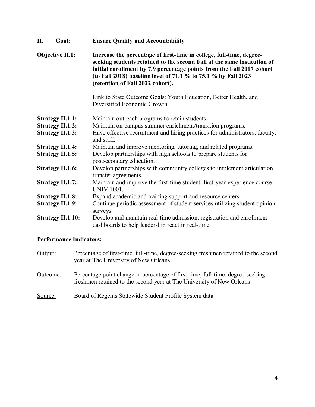| П. | Goal:                    | <b>Ensure Quality and Accountability</b>                                                                                                                                                                                                                                                                                       |
|----|--------------------------|--------------------------------------------------------------------------------------------------------------------------------------------------------------------------------------------------------------------------------------------------------------------------------------------------------------------------------|
|    | <b>Objective II.1:</b>   | Increase the percentage of first-time in college, full-time, degree-<br>seeking students retained to the second Fall at the same institution of<br>initial enrollment by 7.9 percentage points from the Fall 2017 cohort<br>(to Fall 2018) baseline level of 71.1 % to 75.1 % by Fall 2023<br>(retention of Fall 2022 cohort). |
|    |                          | Link to State Outcome Goals: Youth Education, Better Health, and<br>Diversified Economic Growth                                                                                                                                                                                                                                |
|    | <b>Strategy II.1.1:</b>  | Maintain outreach programs to retain students.                                                                                                                                                                                                                                                                                 |
|    | <b>Strategy II.1.2:</b>  | Maintain on-campus summer enrichment/transition programs.                                                                                                                                                                                                                                                                      |
|    | <b>Strategy II.1.3:</b>  | Have effective recruitment and hiring practices for administrators, faculty,<br>and staff.                                                                                                                                                                                                                                     |
|    | <b>Strategy II.1.4:</b>  | Maintain and improve mentoring, tutoring, and related programs.                                                                                                                                                                                                                                                                |
|    | <b>Strategy II.1.5:</b>  | Develop partnerships with high schools to prepare students for<br>postsecondary education.                                                                                                                                                                                                                                     |
|    | <b>Strategy II.1.6:</b>  | Develop partnerships with community colleges to implement articulation<br>transfer agreements.                                                                                                                                                                                                                                 |
|    | <b>Strategy II.1.7:</b>  | Maintain and improve the first-time student, first-year experience course<br><b>UNIV 1001.</b>                                                                                                                                                                                                                                 |
|    | <b>Strategy II.1.8:</b>  | Expand academic and training support and resource centers.                                                                                                                                                                                                                                                                     |
|    | <b>Strategy II.1.9:</b>  | Continue periodic assessment of student services utilizing student opinion<br>surveys.                                                                                                                                                                                                                                         |
|    | <b>Strategy II.1.10:</b> | Develop and maintain real-time admission, registration and enrollment<br>dashboards to help leadership react in real-time.                                                                                                                                                                                                     |

| Output:  | Percentage of first-time, full-time, degree-seeking freshmen retained to the second<br>year at The University of New Orleans                            |
|----------|---------------------------------------------------------------------------------------------------------------------------------------------------------|
| Outcome: | Percentage point change in percentage of first-time, full-time, degree-seeking<br>freshmen retained to the second year at The University of New Orleans |
| Source:  | Board of Regents Statewide Student Profile System data                                                                                                  |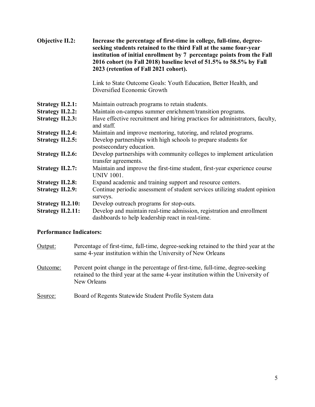| <b>Objective II.2:</b>   | Increase the percentage of first-time in college, full-time, degree-<br>seeking students retained to the third Fall at the same four-year<br>institution of initial enrollment by 7 percentage points from the Fall<br>2016 cohort (to Fall 2018) baseline level of 51.5% to 58.5% by Fall<br>2023 (retention of Fall 2021 cohort). |
|--------------------------|-------------------------------------------------------------------------------------------------------------------------------------------------------------------------------------------------------------------------------------------------------------------------------------------------------------------------------------|
|                          | Link to State Outcome Goals: Youth Education, Better Health, and<br>Diversified Economic Growth                                                                                                                                                                                                                                     |
| <b>Strategy II.2.1:</b>  | Maintain outreach programs to retain students.                                                                                                                                                                                                                                                                                      |
| <b>Strategy II.2.2:</b>  | Maintain on-campus summer enrichment/transition programs.                                                                                                                                                                                                                                                                           |
| <b>Strategy II.2.3:</b>  | Have effective recruitment and hiring practices for administrators, faculty,<br>and staff.                                                                                                                                                                                                                                          |
| <b>Strategy II.2.4:</b>  | Maintain and improve mentoring, tutoring, and related programs.                                                                                                                                                                                                                                                                     |
| <b>Strategy II.2.5:</b>  | Develop partnerships with high schools to prepare students for<br>postsecondary education.                                                                                                                                                                                                                                          |
| <b>Strategy II.2.6:</b>  | Develop partnerships with community colleges to implement articulation<br>transfer agreements.                                                                                                                                                                                                                                      |
| <b>Strategy II.2.7:</b>  | Maintain and improve the first-time student, first-year experience course<br><b>UNIV 1001.</b>                                                                                                                                                                                                                                      |
| <b>Strategy II.2.8:</b>  | Expand academic and training support and resource centers.                                                                                                                                                                                                                                                                          |
| <b>Strategy II.2.9:</b>  | Continue periodic assessment of student services utilizing student opinion<br>surveys.                                                                                                                                                                                                                                              |
| <b>Strategy II.2.10:</b> | Develop outreach programs for stop-outs.                                                                                                                                                                                                                                                                                            |
| <b>Strategy II.2.11:</b> | Develop and maintain real-time admission, registration and enrollment<br>dashboards to help leadership react in real-time.                                                                                                                                                                                                          |

| Output:  | Percentage of first-time, full-time, degree-seeking retained to the third year at the<br>same 4-year institution within the University of New Orleans                                |
|----------|--------------------------------------------------------------------------------------------------------------------------------------------------------------------------------------|
| Outcome: | Percent point change in the percentage of first-time, full-time, degree-seeking<br>retained to the third year at the same 4-year institution within the University of<br>New Orleans |
| Source:  | Board of Regents Statewide Student Profile System data                                                                                                                               |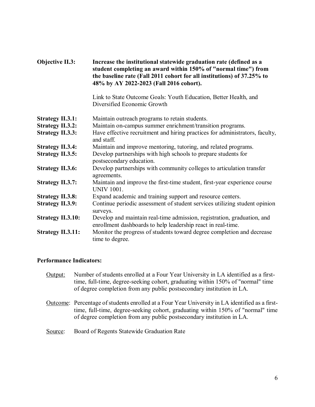| Objective II.3:          | Increase the institutional statewide graduation rate (defined as a<br>student completing an award within 150% of "normal time") from<br>the baseline rate (Fall 2011 cohort for all institutions) of 37.25% to<br>48% by AY 2022-2023 (Fall 2016 cohort). |
|--------------------------|-----------------------------------------------------------------------------------------------------------------------------------------------------------------------------------------------------------------------------------------------------------|
|                          | Link to State Outcome Goals: Youth Education, Better Health, and<br>Diversified Economic Growth                                                                                                                                                           |
| <b>Strategy II.3.1:</b>  | Maintain outreach programs to retain students.                                                                                                                                                                                                            |
| <b>Strategy II.3.2:</b>  | Maintain on-campus summer enrichment/transition programs.                                                                                                                                                                                                 |
| <b>Strategy II.3.3:</b>  | Have effective recruitment and hiring practices for administrators, faculty,<br>and staff.                                                                                                                                                                |
| <b>Strategy II.3.4:</b>  | Maintain and improve mentoring, tutoring, and related programs.                                                                                                                                                                                           |
| <b>Strategy II.3.5:</b>  | Develop partnerships with high schools to prepare students for<br>postsecondary education.                                                                                                                                                                |
| <b>Strategy II.3.6:</b>  | Develop partnerships with community colleges to articulation transfer<br>agreements.                                                                                                                                                                      |
| <b>Strategy II.3.7:</b>  | Maintain and improve the first-time student, first-year experience course<br><b>UNIV 1001.</b>                                                                                                                                                            |
| <b>Strategy II.3.8:</b>  | Expand academic and training support and resource centers.                                                                                                                                                                                                |
| <b>Strategy II.3.9:</b>  | Continue periodic assessment of student services utilizing student opinion<br>surveys.                                                                                                                                                                    |
| <b>Strategy II.3.10:</b> | Develop and maintain real-time admission, registration, graduation, and<br>enrollment dashboards to help leadership react in real-time.                                                                                                                   |
| <b>Strategy II.3.11:</b> | Monitor the progress of students toward degree completion and decrease<br>time to degree.                                                                                                                                                                 |

- Output: Number of students enrolled at a Four Year University in LA identified as a firsttime, full-time, degree-seeking cohort, graduating within 150% of "normal" time of degree completion from any public postsecondary institution in LA.
- Outcome: Percentage of students enrolled at a Four Year University in LA identified as a firsttime, full-time, degree-seeking cohort, graduating within 150% of "normal" time of degree completion from any public postsecondary institution in LA.
- Source: Board of Regents Statewide Graduation Rate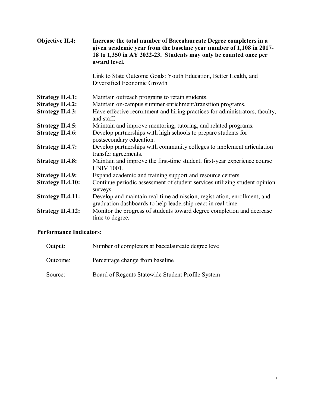| <b>Objective II.4:</b>   | Increase the total number of Baccalaureate Degree completers in a<br>given academic year from the baseline year number of 1,108 in 2017-<br>18 to 1,350 in AY 2022-23. Students may only be counted once per<br>award level. |
|--------------------------|------------------------------------------------------------------------------------------------------------------------------------------------------------------------------------------------------------------------------|
|                          | Link to State Outcome Goals: Youth Education, Better Health, and<br>Diversified Economic Growth                                                                                                                              |
| <b>Strategy II.4.1:</b>  | Maintain outreach programs to retain students.                                                                                                                                                                               |
| <b>Strategy II.4.2:</b>  | Maintain on-campus summer enrichment/transition programs.                                                                                                                                                                    |
| <b>Strategy II.4.3:</b>  | Have effective recruitment and hiring practices for administrators, faculty,<br>and staff.                                                                                                                                   |
| <b>Strategy II.4.5:</b>  | Maintain and improve mentoring, tutoring, and related programs.                                                                                                                                                              |
| <b>Strategy II.4.6:</b>  | Develop partnerships with high schools to prepare students for<br>postsecondary education.                                                                                                                                   |
| <b>Strategy II.4.7:</b>  | Develop partnerships with community colleges to implement articulation<br>transfer agreements.                                                                                                                               |
| <b>Strategy II.4.8:</b>  | Maintain and improve the first-time student, first-year experience course<br><b>UNIV 1001.</b>                                                                                                                               |
| <b>Strategy II.4.9:</b>  | Expand academic and training support and resource centers.                                                                                                                                                                   |
| <b>Strategy II.4.10:</b> | Continue periodic assessment of student services utilizing student opinion<br>surveys                                                                                                                                        |
| <b>Strategy II.4.11:</b> | Develop and maintain real-time admission, registration, enrollment, and<br>graduation dashboards to help leadership react in real-time.                                                                                      |
| <b>Strategy II.4.12:</b> | Monitor the progress of students toward degree completion and decrease<br>time to degree.                                                                                                                                    |

| Output:  | Number of completers at baccalaureate degree level |
|----------|----------------------------------------------------|
| Outcome: | Percentage change from baseline                    |
| Source:  | Board of Regents Statewide Student Profile System  |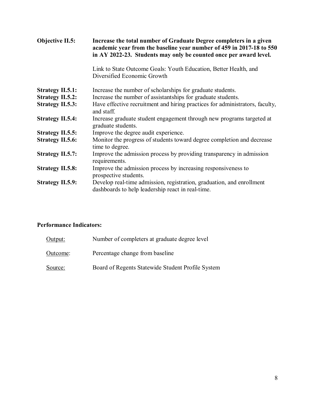| Objective II.5:         | Increase the total number of Graduate Degree completers in a given<br>academic year from the baseline year number of 459 in 2017-18 to 550<br>in AY 2022-23. Students may only be counted once per award level. |
|-------------------------|-----------------------------------------------------------------------------------------------------------------------------------------------------------------------------------------------------------------|
|                         | Link to State Outcome Goals: Youth Education, Better Health, and<br>Diversified Economic Growth                                                                                                                 |
| <b>Strategy II.5.1:</b> | Increase the number of scholarships for graduate students.                                                                                                                                                      |
| <b>Strategy II.5.2:</b> | Increase the number of assistantships for graduate students.                                                                                                                                                    |
| <b>Strategy II.5.3:</b> | Have effective recruitment and hiring practices for administrators, faculty,<br>and staff.                                                                                                                      |
| <b>Strategy II.5.4:</b> | Increase graduate student engagement through new programs targeted at<br>graduate students.                                                                                                                     |
| <b>Strategy II.5.5:</b> | Improve the degree audit experience.                                                                                                                                                                            |
| <b>Strategy II.5.6:</b> | Monitor the progress of students toward degree completion and decrease<br>time to degree.                                                                                                                       |
| <b>Strategy II.5.7:</b> | Improve the admission process by providing transparency in admission<br>requirements.                                                                                                                           |
| <b>Strategy II.5.8:</b> | Improve the admission process by increasing responsiveness to<br>prospective students.                                                                                                                          |
| <b>Strategy II.5.9:</b> | Develop real-time admission, registration, graduation, and enrollment<br>dashboards to help leadership react in real-time.                                                                                      |

| Output:  | Number of completers at graduate degree level     |
|----------|---------------------------------------------------|
| Outcome: | Percentage change from baseline                   |
| Source:  | Board of Regents Statewide Student Profile System |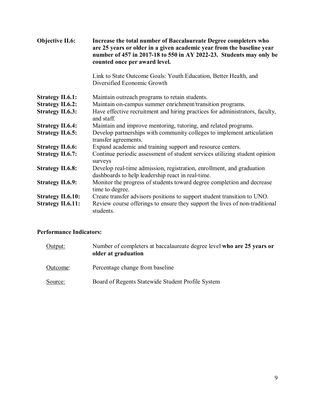| Objective II.6:          | Increase the total number of Baccalaureate Degree completers who<br>are 25 years or older in a given academic year from the baseline year<br>number of 457 in 2017-18 to 550 in AY 2022-23. Students may only be<br>counted once per award level. |
|--------------------------|---------------------------------------------------------------------------------------------------------------------------------------------------------------------------------------------------------------------------------------------------|
|                          | Link to State Outcome Goals: Youth Education, Better Health, and<br>Diversified Economic Growth                                                                                                                                                   |
| <b>Strategy II.6.1:</b>  | Maintain outreach programs to retain students.                                                                                                                                                                                                    |
| <b>Strategy II.6.2:</b>  | Maintain on-campus summer enrichment/transition programs.                                                                                                                                                                                         |
| <b>Strategy II.6.3:</b>  | Have effective recruitment and hiring practices for administrators, faculty,<br>and staff.                                                                                                                                                        |
| <b>Strategy II.6.4:</b>  | Maintain and improve mentoring, tutoring, and related programs.                                                                                                                                                                                   |
| <b>Strategy II.6.5:</b>  | Develop partnerships with community colleges to implement articulation<br>transfer agreements.                                                                                                                                                    |
| <b>Strategy II.6.6:</b>  | Expand academic and training support and resource centers.                                                                                                                                                                                        |
| <b>Strategy II.6.7:</b>  | Continue periodic assessment of student services utilizing student opinion<br>surveys                                                                                                                                                             |
| <b>Strategy II.6.8:</b>  | Develop real-time admission, registration, enrollment, and graduation<br>dashboards to help leadership react in real-time.                                                                                                                        |
| <b>Strategy II.6.9:</b>  | Monitor the progress of students toward degree completion and decrease<br>time to degree.                                                                                                                                                         |
| <b>Strategy II.6.10:</b> | Create transfer advisors positions to support student transition to UNO.                                                                                                                                                                          |
| <b>Strategy II.6.11:</b> | Review course offerings to ensure they support the lives of non-traditional<br>students.                                                                                                                                                          |

| Output:  | Number of completers at baccalaureate degree level who are 25 years or<br>older at graduation |
|----------|-----------------------------------------------------------------------------------------------|
| Outcome: | Percentage change from baseline                                                               |
| Source:  | Board of Regents Statewide Student Profile System                                             |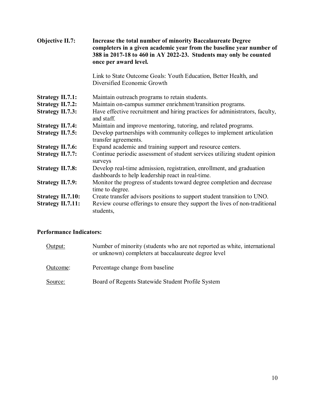| Objective II.7:          | Increase the total number of minority Baccalaureate Degree<br>completers in a given academic year from the baseline year number of<br>388 in 2017-18 to 460 in AY 2022-23. Students may only be counted<br>once per award level. |
|--------------------------|----------------------------------------------------------------------------------------------------------------------------------------------------------------------------------------------------------------------------------|
|                          | Link to State Outcome Goals: Youth Education, Better Health, and<br>Diversified Economic Growth                                                                                                                                  |
| <b>Strategy II.7.1:</b>  | Maintain outreach programs to retain students.                                                                                                                                                                                   |
| <b>Strategy II.7.2:</b>  | Maintain on-campus summer enrichment/transition programs.                                                                                                                                                                        |
| <b>Strategy II.7.3:</b>  | Have effective recruitment and hiring practices for administrators, faculty,<br>and staff.                                                                                                                                       |
| <b>Strategy II.7.4:</b>  | Maintain and improve mentoring, tutoring, and related programs.                                                                                                                                                                  |
| <b>Strategy II.7.5:</b>  | Develop partnerships with community colleges to implement articulation<br>transfer agreements.                                                                                                                                   |
| <b>Strategy II.7.6:</b>  | Expand academic and training support and resource centers.                                                                                                                                                                       |
| <b>Strategy II.7.7:</b>  | Continue periodic assessment of student services utilizing student opinion<br>surveys                                                                                                                                            |
| <b>Strategy II.7.8:</b>  | Develop real-time admission, registration, enrollment, and graduation<br>dashboards to help leadership react in real-time.                                                                                                       |
| <b>Strategy II.7.9:</b>  | Monitor the progress of students toward degree completion and decrease<br>time to degree.                                                                                                                                        |
| <b>Strategy II.7.10:</b> | Create transfer advisors positions to support student transition to UNO.                                                                                                                                                         |
| <b>Strategy II.7.11:</b> | Review course offerings to ensure they support the lives of non-traditional<br>students,                                                                                                                                         |

| Output:  | Number of minority (students who are not reported as white, international<br>or unknown) completers at baccalaureate degree level |
|----------|-----------------------------------------------------------------------------------------------------------------------------------|
| Outcome: | Percentage change from baseline                                                                                                   |
| Source:  | Board of Regents Statewide Student Profile System                                                                                 |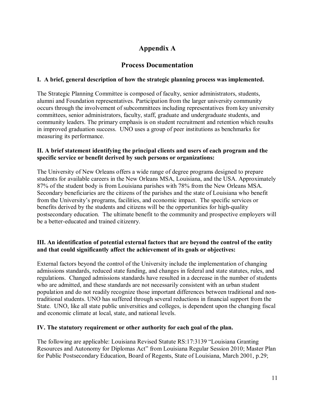## **Appendix A**

## **Process Documentation**

#### **I. A brief, general description of how the strategic planning process was implemented.**

The Strategic Planning Committee is composed of faculty, senior administrators, students, alumni and Foundation representatives. Participation from the larger university community occurs through the involvement of subcommittees including representatives from key university committees, senior administrators, faculty, staff, graduate and undergraduate students, and community leaders. The primary emphasis is on student recruitment and retention which results in improved graduation success. UNO uses a group of peer institutions as benchmarks for measuring its performance.

#### **II. A brief statement identifying the principal clients and users of each program and the specific service or benefit derived by such persons or organizations:**

The University of New Orleans offers a wide range of degree programs designed to prepare students for available careers in the New Orleans MSA, Louisiana, and the USA. Approximately 87% of the student body is from Louisiana parishes with 78% from the New Orleans MSA. Secondary beneficiaries are the citizens of the parishes and the state of Louisiana who benefit from the University's programs, facilities, and economic impact. The specific services or benefits derived by the students and citizens will be the opportunities for high-quality postsecondary education. The ultimate benefit to the community and prospective employers will be a better-educated and trained citizenry.

#### **III. An identification of potential external factors that are beyond the control of the entity and that could significantly affect the achievement of its goals or objectives:**

External factors beyond the control of the University include the implementation of changing admissions standards, reduced state funding, and changes in federal and state statutes, rules, and regulations. Changed admissions standards have resulted in a decrease in the number of students who are admitted, and these standards are not necessarily consistent with an urban student population and do not readily recognize those important differences between traditional and nontraditional students. UNO has suffered through several reductions in financial support from the State. UNO, like all state public universities and colleges, is dependent upon the changing fiscal and economic climate at local, state, and national levels.

#### **IV. The statutory requirement or other authority for each goal of the plan.**

The following are applicable: Louisiana Revised Statute RS:17:3139 "Louisiana Granting Resources and Autonomy for Diplomas Act" from Louisiana Regular Session 2010; Master Plan for Public Postsecondary Education, Board of Regents, State of Louisiana, March 2001, p.29;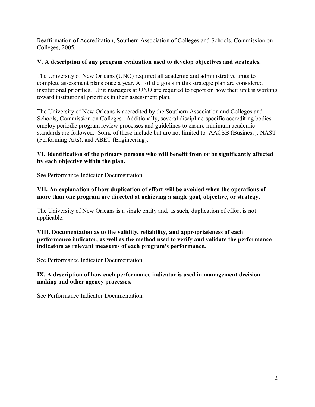Reaffirmation of Accreditation, Southern Association of Colleges and Schools, Commission on Colleges, 2005.

#### **V. A description of any program evaluation used to develop objectives and strategies.**

The University of New Orleans (UNO) required all academic and administrative units to complete assessment plans once a year. All of the goals in this strategic plan are considered institutional priorities. Unit managers at UNO are required to report on how their unit is working toward institutional priorities in their assessment plan.

The University of New Orleans is accredited by the Southern Association and Colleges and Schools, Commission on Colleges. Additionally, several discipline-specific accrediting bodies employ periodic program review processes and guidelines to ensure minimum academic standards are followed. Some of these include but are not limited to AACSB (Business), NAST (Performing Arts), and ABET (Engineering).

#### **VI. Identification of the primary persons who will benefit from or be significantly affected by each objective within the plan.**

See Performance Indicator Documentation.

#### **VII. An explanation of how duplication of effort will be avoided when the operations of more than one program are directed at achieving a single goal, objective, or strategy.**

The University of New Orleans is a single entity and, as such, duplication of effort is not applicable.

#### **VIII. Documentation as to the validity, reliability, and appropriateness of each performance indicator, as well as the method used to verify and validate the performance indicators as relevant measures of each program's performance.**

See Performance Indicator Documentation.

#### **IX. A description of how each performance indicator is used in management decision making and other agency processes.**

See Performance Indicator Documentation.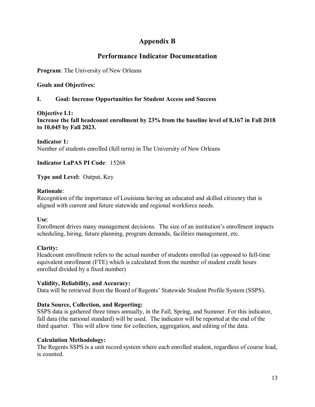## **Appendix B**

## **Performance Indicator Documentation**

**Program**: The University of New Orleans

#### **Goals and Objectives:**

#### **I. Goal: Increase Opportunities for Student Access and Success**

**Objective I.1: Increase the fall headcount enrollment by 23% from the baseline level of 8,167 in Fall 2018 to 10,045 by Fall 2023.**

**Indicator 1:**  Number of students enrolled (full term) in The University of New Orleans

**Indicator LaPAS PI Code**: 15268

**Type and Level:** Output, Key

#### **Rationale**:

Recognition of the importance of Louisiana having an educated and skilled citizenry that is aligned with current and future statewide and regional workforce needs.

#### **Use**:

Enrollment drives many management decisions. The size of an institution's enrollment impacts scheduling, hiring, future planning, program demands, facilities management, etc.

#### **Clarity:**

Headcount enrollment refers to the actual number of students enrolled (as opposed to full-time equivalent enrollment (FTE) which is calculated from the number of student credit hours enrolled divided by a fixed number)

#### **Validity, Reliability, and Accuracy:**

Data will be retrieved from the Board of Regents' Statewide Student Profile System (SSPS).

#### **Data Source, Collection, and Reporting:**

SSPS data is gathered three times annually, in the Fall, Spring, and Summer. For this indicator, fall data (the national standard) will be used. The indicator will be reported at the end of the third quarter. This will allow time for collection, aggregation, and editing of the data.

#### **Calculation Methodology:**

The Regents SSPS is a unit record system where each enrolled student, regardless of course load, is counted.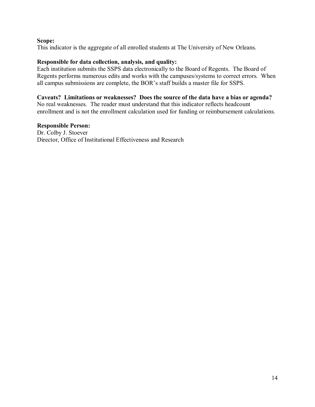#### **Scope:**

This indicator is the aggregate of all enrolled students at The University of New Orleans.

#### **Responsible for data collection, analysis, and quality:**

Each institution submits the SSPS data electronically to the Board of Regents. The Board of Regents performs numerous edits and works with the campuses/systems to correct errors. When all campus submissions are complete, the BOR's staff builds a master file for SSPS.

#### **Caveats? Limitations or weaknesses? Does the source of the data have a bias or agenda?**

No real weaknesses. The reader must understand that this indicator reflects headcount enrollment and is not the enrollment calculation used for funding or reimbursement calculations.

#### **Responsible Person:**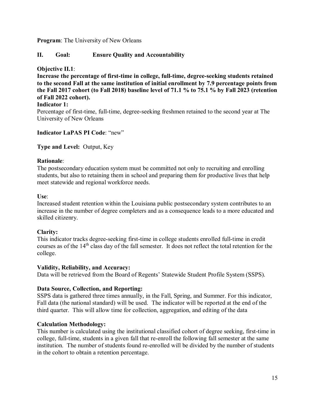#### **II. Goal: Ensure Quality and Accountability**

#### **Objective II.1**:

**Increase the percentage of first-time in college, full-time, degree-seeking students retained to the second Fall at the same institution of initial enrollment by 7.9 percentage points from the Fall 2017 cohort (to Fall 2018) baseline level of 71.1 % to 75.1 % by Fall 2023 (retention of Fall 2022 cohort).**

#### **Indicator 1:**

Percentage of first-time, full-time, degree-seeking freshmen retained to the second year at The University of New Orleans

#### **Indicator LaPAS PI Code**: "new"

#### **Type and Level:** Output, Key

#### **Rationale**:

The postsecondary education system must be committed not only to recruiting and enrolling students, but also to retaining them in school and preparing them for productive lives that help meet statewide and regional workforce needs.

#### **Use**:

Increased student retention within the Louisiana public postsecondary system contributes to an increase in the number of degree completers and as a consequence leads to a more educated and skilled citizenry.

#### **Clarity:**

This indicator tracks degree-seeking first-time in college students enrolled full-time in credit courses as of the 14<sup>th</sup> class day of the fall semester. It does not reflect the total retention for the college.

#### **Validity, Reliability, and Accuracy:**

Data will be retrieved from the Board of Regents' Statewide Student Profile System (SSPS).

#### **Data Source, Collection, and Reporting:**

SSPS data is gathered three times annually, in the Fall, Spring, and Summer. For this indicator, Fall data (the national standard) will be used. The indicator will be reported at the end of the third quarter. This will allow time for collection, aggregation, and editing of the data

#### **Calculation Methodology:**

This number is calculated using the institutional classified cohort of degree seeking, first-time in college, full-time, students in a given fall that re-enroll the following fall semester at the same institution. The number of students found re-enrolled will be divided by the number of students in the cohort to obtain a retention percentage.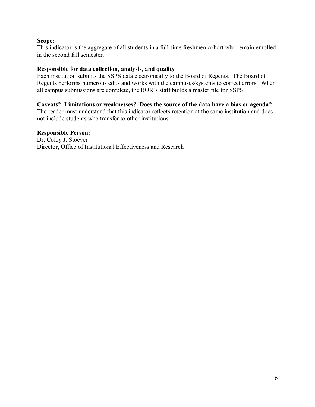#### **Scope:**

This indicator is the aggregate of all students in a full-time freshmen cohort who remain enrolled in the second fall semester.

#### **Responsible for data collection, analysis, and quality**

Each institution submits the SSPS data electronically to the Board of Regents. The Board of Regents performs numerous edits and works with the campuses/systems to correct errors. When all campus submissions are complete, the BOR's staff builds a master file for SSPS.

#### **Caveats? Limitations or weaknesses? Does the source of the data have a bias or agenda?**

The reader must understand that this indicator reflects retention at the same institution and does not include students who transfer to other institutions.

#### **Responsible Person:**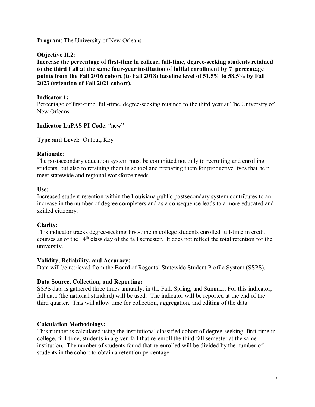#### **Objective II.2**:

**Increase the percentage of first-time in college, full-time, degree-seeking students retained to the third Fall at the same four-year institution of initial enrollment by 7 percentage points from the Fall 2016 cohort (to Fall 2018) baseline level of 51.5% to 58.5% by Fall 2023 (retention of Fall 2021 cohort).**

#### **Indicator 1:**

Percentage of first-time, full-time, degree-seeking retained to the third year at The University of New Orleans.

#### **Indicator LaPAS PI Code**: "new"

**Type and Level:** Output, Key

#### **Rationale**:

The postsecondary education system must be committed not only to recruiting and enrolling students, but also to retaining them in school and preparing them for productive lives that help meet statewide and regional workforce needs.

#### **Use**:

Increased student retention within the Louisiana public postsecondary system contributes to an increase in the number of degree completers and as a consequence leads to a more educated and skilled citizenry.

#### **Clarity:**

This indicator tracks degree-seeking first-time in college students enrolled full-time in credit courses as of the 14<sup>th</sup> class day of the fall semester. It does not reflect the total retention for the university.

#### **Validity, Reliability, and Accuracy:**

Data will be retrieved from the Board of Regents' Statewide Student Profile System (SSPS).

#### **Data Source, Collection, and Reporting:**

SSPS data is gathered three times annually, in the Fall, Spring, and Summer. For this indicator, fall data (the national standard) will be used. The indicator will be reported at the end of the third quarter. This will allow time for collection, aggregation, and editing of the data.

#### **Calculation Methodology:**

This number is calculated using the institutional classified cohort of degree-seeking, first-time in college, full-time, students in a given fall that re-enroll the third fall semester at the same institution. The number of students found that re-enrolled will be divided by the number of students in the cohort to obtain a retention percentage.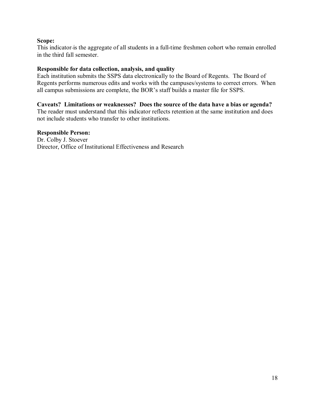#### **Scope:**

This indicator is the aggregate of all students in a full-time freshmen cohort who remain enrolled in the third fall semester.

#### **Responsible for data collection, analysis, and quality**

Each institution submits the SSPS data electronically to the Board of Regents. The Board of Regents performs numerous edits and works with the campuses/systems to correct errors. When all campus submissions are complete, the BOR's staff builds a master file for SSPS.

#### **Caveats? Limitations or weaknesses? Does the source of the data have a bias or agenda?**

The reader must understand that this indicator reflects retention at the same institution and does not include students who transfer to other institutions.

#### **Responsible Person:**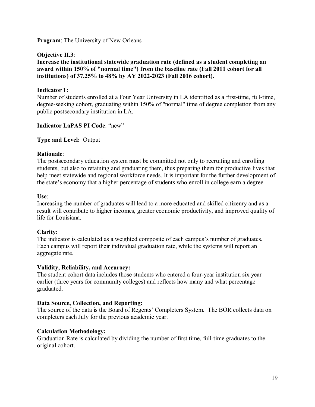#### **Objective II.3**:

**Increase the institutional statewide graduation rate (defined as a student completing an award within 150% of "normal time") from the baseline rate (Fall 2011 cohort for all institutions) of 37.25% to 48% by AY 2022-2023 (Fall 2016 cohort).**

#### **Indicator 1:**

Number of students enrolled at a Four Year University in LA identified as a first-time, full-time, degree-seeking cohort, graduating within 150% of "normal" time of degree completion from any public postsecondary institution in LA.

#### **Indicator LaPAS PI Code**: "new"

#### **Type and Level:** Output

#### **Rationale**:

The postsecondary education system must be committed not only to recruiting and enrolling students, but also to retaining and graduating them, thus preparing them for productive lives that help meet statewide and regional workforce needs. It is important for the further development of the state's economy that a higher percentage of students who enroll in college earn a degree.

#### **Use**:

Increasing the number of graduates will lead to a more educated and skilled citizenry and as a result will contribute to higher incomes, greater economic productivity, and improved quality of life for Louisiana.

#### **Clarity:**

The indicator is calculated as a weighted composite of each campus's number of graduates. Each campus will report their individual graduation rate, while the systems will report an aggregate rate.

#### **Validity, Reliability, and Accuracy:**

The student cohort data includes those students who entered a four-year institution six year earlier (three years for community colleges) and reflects how many and what percentage graduated.

#### **Data Source, Collection, and Reporting:**

The source of the data is the Board of Regents' Completers System. The BOR collects data on completers each July for the previous academic year.

#### **Calculation Methodology:**

Graduation Rate is calculated by dividing the number of first time, full-time graduates to the original cohort.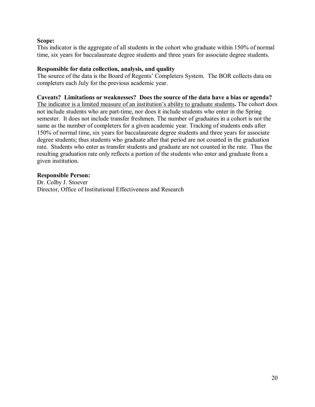#### **Scope:**

This indicator is the aggregate of all students in the cohort who graduate within 150% of normal time, six years for baccalaureate degree students and three years for associate degree students.

#### **Responsible for data collection, analysis, and quality**

The source of the data is the Board of Regents' Completers System. The BOR collects data on completers each July for the previous academic year.

#### **Caveats? Limitations or weaknesses? Does the source of the data have a bias or agenda?**

The indicator is a limited measure of an institution's ability to graduate students**.** The cohort does not include students who are part-time, nor does it include students who enter in the Spring semester. It does not include transfer freshmen. The number of graduates in a cohort is not the same as the number of completers for a given academic year. Tracking of students ends after 150% of normal time, six years for baccalaureate degree students and three years for associate degree students; thus students who graduate after that period are not counted in the graduation rate. Students who enter as transfer students and graduate are not counted in the rate. Thus the resulting graduation rate only reflects a portion of the students who enter and graduate from a given institution.

#### **Responsible Person:**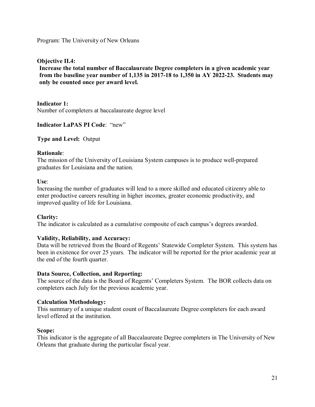**Objective II.4:**

**Increase the total number of Baccalaureate Degree completers in a given academic year from the baseline year number of 1,135 in 2017-18 to 1,350 in AY 2022-23. Students may only be counted once per award level.**

**Indicator 1:** 

Number of completers at baccalaureate degree level

**Indicator LaPAS PI Code**: "new"

**Type and Level:** Output

#### **Rationale**:

The mission of the University of Louisiana System campuses is to produce well-prepared graduates for Louisiana and the nation.

#### **Use**:

Increasing the number of graduates will lead to a more skilled and educated citizenry able to enter productive careers resulting in higher incomes, greater economic productivity, and improved quality of life for Louisiana.

#### **Clarity:**

The indicator is calculated as a cumulative composite of each campus's degrees awarded.

#### **Validity, Reliability, and Accuracy:**

Data will be retrieved from the Board of Regents' Statewide Completer System. This system has been in existence for over 25 years. The indicator will be reported for the prior academic year at the end of the fourth quarter.

#### **Data Source, Collection, and Reporting:**

The source of the data is the Board of Regents' Completers System. The BOR collects data on completers each July for the previous academic year.

#### **Calculation Methodology:**

This summary of a unique student count of Baccalaureate Degree completers for each award level offered at the institution.

#### **Scope:**

This indicator is the aggregate of all Baccalaureate Degree completers in The University of New Orleans that graduate during the particular fiscal year.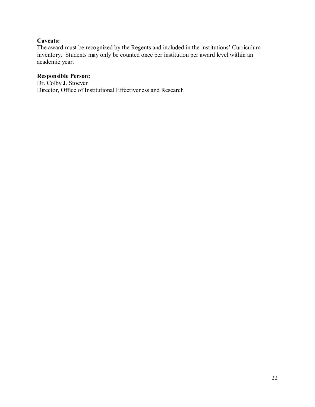#### **Caveats:**

The award must be recognized by the Regents and included in the institutions' Curriculum inventory. Students may only be counted once per institution per award level within an academic year.

#### **Responsible Person:**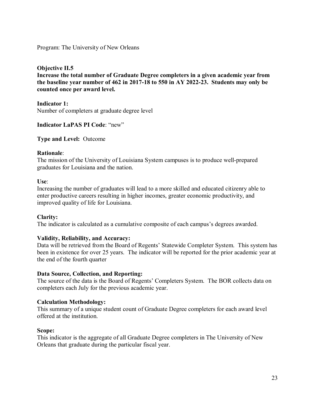#### **Objective II.5**

**Increase the total number of Graduate Degree completers in a given academic year from the baseline year number of 462 in 2017-18 to 550 in AY 2022-23. Students may only be counted once per award level.**

**Indicator 1:**  Number of completers at graduate degree level

#### **Indicator LaPAS PI Code**: "new"

**Type and Level:** Outcome

#### **Rationale**:

The mission of the University of Louisiana System campuses is to produce well-prepared graduates for Louisiana and the nation.

#### **Use**:

Increasing the number of graduates will lead to a more skilled and educated citizenry able to enter productive careers resulting in higher incomes, greater economic productivity, and improved quality of life for Louisiana.

#### **Clarity:**

The indicator is calculated as a cumulative composite of each campus's degrees awarded.

#### **Validity, Reliability, and Accuracy:**

Data will be retrieved from the Board of Regents' Statewide Completer System. This system has been in existence for over 25 years. The indicator will be reported for the prior academic year at the end of the fourth quarter

#### **Data Source, Collection, and Reporting:**

The source of the data is the Board of Regents' Completers System. The BOR collects data on completers each July for the previous academic year.

#### **Calculation Methodology:**

This summary of a unique student count of Graduate Degree completers for each award level offered at the institution.

#### **Scope:**

This indicator is the aggregate of all Graduate Degree completers in The University of New Orleans that graduate during the particular fiscal year.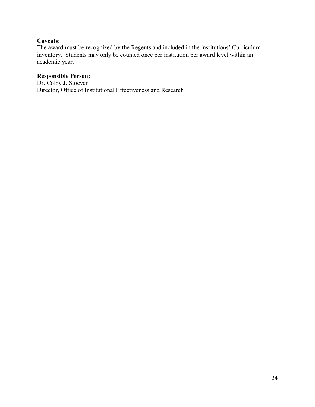#### **Caveats:**

The award must be recognized by the Regents and included in the institutions' Curriculum inventory. Students may only be counted once per institution per award level within an academic year.

#### **Responsible Person:**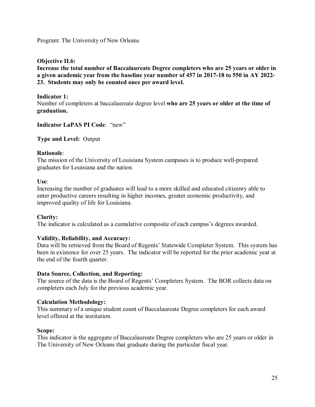**Objective II.6:**

**Increase the total number of Baccalaureate Degree completers who are 25 years or older in a given academic year from the baseline year number of 457 in 2017-18 to 550 in AY 2022- 23. Students may only be counted once per award level.**

#### **Indicator 1:**

Number of completers at baccalaureate degree level **who are 25 years or older at the time of graduation.**

**Indicator LaPAS PI Code**: "new"

**Type and Level:** Output

#### **Rationale**:

The mission of the University of Louisiana System campuses is to produce well-prepared graduates for Louisiana and the nation.

#### **Use**:

Increasing the number of graduates will lead to a more skilled and educated citizenry able to enter productive careers resulting in higher incomes, greater economic productivity, and improved quality of life for Louisiana.

#### **Clarity:**

The indicator is calculated as a cumulative composite of each campus's degrees awarded.

#### **Validity, Reliability, and Accuracy:**

Data will be retrieved from the Board of Regents' Statewide Completer System. This system has been in existence for over 25 years. The indicator will be reported for the prior academic year at the end of the fourth quarter.

#### **Data Source, Collection, and Reporting:**

The source of the data is the Board of Regents' Completers System. The BOR collects data on completers each July for the previous academic year.

#### **Calculation Methodology:**

This summary of a unique student count of Baccalaureate Degree completers for each award level offered at the institution.

#### **Scope:**

This indicator is the aggregate of Baccalaureate Degree completers who are 25 years or older in The University of New Orleans that graduate during the particular fiscal year.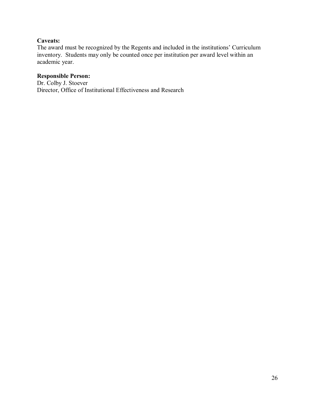#### **Caveats:**

The award must be recognized by the Regents and included in the institutions' Curriculum inventory. Students may only be counted once per institution per award level within an academic year.

#### **Responsible Person:**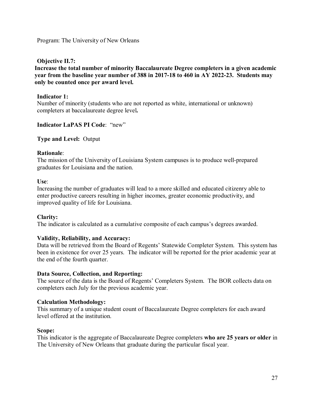**Objective II.7:**

**Increase the total number of minority Baccalaureate Degree completers in a given academic year from the baseline year number of 388 in 2017-18 to 460 in AY 2022-23. Students may only be counted once per award level.**

#### **Indicator 1:**

Number of minority (students who are not reported as white, international or unknown) completers at baccalaureate degree level**.**

#### **Indicator LaPAS PI Code**: "new"

**Type and Level:** Output

#### **Rationale**:

The mission of the University of Louisiana System campuses is to produce well-prepared graduates for Louisiana and the nation.

#### **Use**:

Increasing the number of graduates will lead to a more skilled and educated citizenry able to enter productive careers resulting in higher incomes, greater economic productivity, and improved quality of life for Louisiana.

#### **Clarity:**

The indicator is calculated as a cumulative composite of each campus's degrees awarded.

#### **Validity, Reliability, and Accuracy:**

Data will be retrieved from the Board of Regents' Statewide Completer System. This system has been in existence for over 25 years. The indicator will be reported for the prior academic year at the end of the fourth quarter.

#### **Data Source, Collection, and Reporting:**

The source of the data is the Board of Regents' Completers System. The BOR collects data on completers each July for the previous academic year.

#### **Calculation Methodology:**

This summary of a unique student count of Baccalaureate Degree completers for each award level offered at the institution.

#### **Scope:**

This indicator is the aggregate of Baccalaureate Degree completers **who are 25 years or older** in The University of New Orleans that graduate during the particular fiscal year.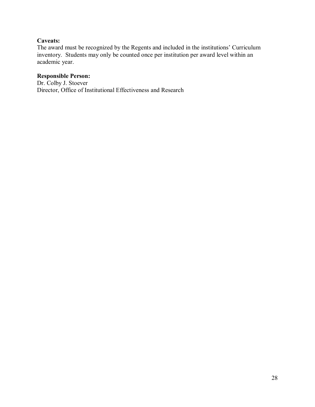#### **Caveats:**

The award must be recognized by the Regents and included in the institutions' Curriculum inventory. Students may only be counted once per institution per award level within an academic year.

#### **Responsible Person:**